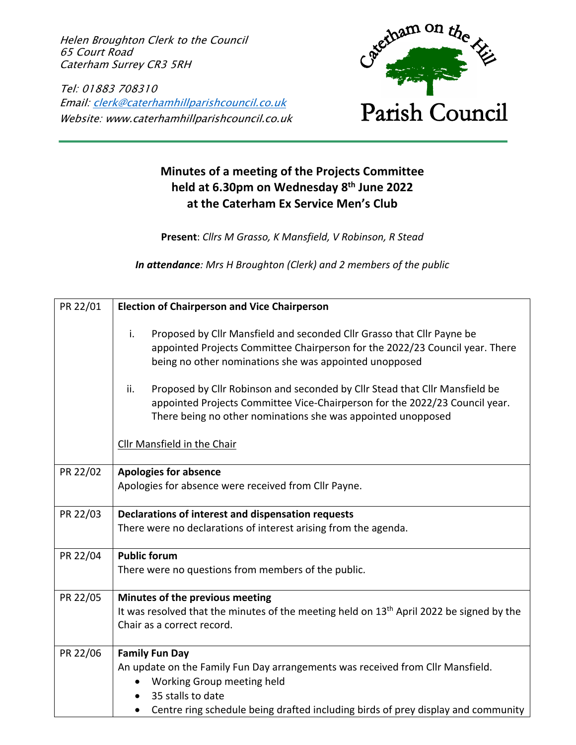Helen Broughton Clerk to the Council 65 Court Road Caterham Surrey CR3 5RH

Tel: 01883 708310 Email: clerk@caterhamhillparishcouncil.co.uk Website: www.caterhamhillparishcouncil.co.uk



## **Minutes of a meeting of the Projects Committee held at 6.30pm on Wednesday 8th June 2022 at the Caterham Ex Service Men's Club**

**Present**: *Cllrs M Grasso, K Mansfield, V Robinson, R Stead*

*In attendance: Mrs H Broughton (Clerk) and 2 members of the public*

| PR 22/01 | <b>Election of Chairperson and Vice Chairperson</b>                                                                                                                                                                                                                                                                                                                                                                                                         |
|----------|-------------------------------------------------------------------------------------------------------------------------------------------------------------------------------------------------------------------------------------------------------------------------------------------------------------------------------------------------------------------------------------------------------------------------------------------------------------|
|          | i.<br>Proposed by Cllr Mansfield and seconded Cllr Grasso that Cllr Payne be<br>appointed Projects Committee Chairperson for the 2022/23 Council year. There<br>being no other nominations she was appointed unopposed<br>ii.<br>Proposed by Cllr Robinson and seconded by Cllr Stead that Cllr Mansfield be<br>appointed Projects Committee Vice-Chairperson for the 2022/23 Council year.<br>There being no other nominations she was appointed unopposed |
|          | Cllr Mansfield in the Chair                                                                                                                                                                                                                                                                                                                                                                                                                                 |
| PR 22/02 | <b>Apologies for absence</b><br>Apologies for absence were received from Cllr Payne.                                                                                                                                                                                                                                                                                                                                                                        |
| PR 22/03 | Declarations of interest and dispensation requests<br>There were no declarations of interest arising from the agenda.                                                                                                                                                                                                                                                                                                                                       |
| PR 22/04 | <b>Public forum</b><br>There were no questions from members of the public.                                                                                                                                                                                                                                                                                                                                                                                  |
| PR 22/05 | Minutes of the previous meeting<br>It was resolved that the minutes of the meeting held on 13 <sup>th</sup> April 2022 be signed by the<br>Chair as a correct record.                                                                                                                                                                                                                                                                                       |
| PR 22/06 | <b>Family Fun Day</b><br>An update on the Family Fun Day arrangements was received from Cllr Mansfield.<br>Working Group meeting held<br>35 stalls to date<br>Centre ring schedule being drafted including birds of prey display and community                                                                                                                                                                                                              |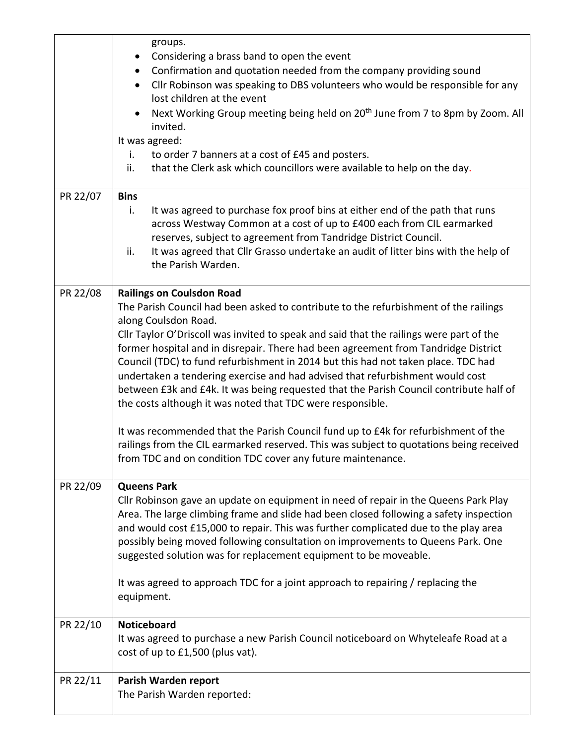|          | groups.<br>Considering a brass band to open the event<br>Confirmation and quotation needed from the company providing sound<br>Cllr Robinson was speaking to DBS volunteers who would be responsible for any<br>lost children at the event<br>Next Working Group meeting being held on 20 <sup>th</sup> June from 7 to 8pm by Zoom. All<br>invited.<br>It was agreed:<br>to order 7 banners at a cost of £45 and posters.<br>i.<br>that the Clerk ask which councillors were available to help on the day.<br>ii.                                                                                                                                                                                                                                                                                                                                                                                               |
|----------|-----------------------------------------------------------------------------------------------------------------------------------------------------------------------------------------------------------------------------------------------------------------------------------------------------------------------------------------------------------------------------------------------------------------------------------------------------------------------------------------------------------------------------------------------------------------------------------------------------------------------------------------------------------------------------------------------------------------------------------------------------------------------------------------------------------------------------------------------------------------------------------------------------------------|
| PR 22/07 | <b>Bins</b><br>It was agreed to purchase fox proof bins at either end of the path that runs<br>i.<br>across Westway Common at a cost of up to £400 each from CIL earmarked<br>reserves, subject to agreement from Tandridge District Council.<br>ii.<br>It was agreed that Cllr Grasso undertake an audit of litter bins with the help of<br>the Parish Warden.                                                                                                                                                                                                                                                                                                                                                                                                                                                                                                                                                 |
| PR 22/08 | <b>Railings on Coulsdon Road</b><br>The Parish Council had been asked to contribute to the refurbishment of the railings<br>along Coulsdon Road.<br>Cllr Taylor O'Driscoll was invited to speak and said that the railings were part of the<br>former hospital and in disrepair. There had been agreement from Tandridge District<br>Council (TDC) to fund refurbishment in 2014 but this had not taken place. TDC had<br>undertaken a tendering exercise and had advised that refurbishment would cost<br>between £3k and £4k. It was being requested that the Parish Council contribute half of<br>the costs although it was noted that TDC were responsible.<br>It was recommended that the Parish Council fund up to £4k for refurbishment of the<br>railings from the CIL earmarked reserved. This was subject to quotations being received<br>from TDC and on condition TDC cover any future maintenance. |
| PR 22/09 | <b>Queens Park</b><br>Cllr Robinson gave an update on equipment in need of repair in the Queens Park Play<br>Area. The large climbing frame and slide had been closed following a safety inspection<br>and would cost £15,000 to repair. This was further complicated due to the play area<br>possibly being moved following consultation on improvements to Queens Park. One<br>suggested solution was for replacement equipment to be moveable.<br>It was agreed to approach TDC for a joint approach to repairing / replacing the<br>equipment.                                                                                                                                                                                                                                                                                                                                                              |
| PR 22/10 | <b>Noticeboard</b><br>It was agreed to purchase a new Parish Council noticeboard on Whyteleafe Road at a<br>cost of up to £1,500 (plus vat).                                                                                                                                                                                                                                                                                                                                                                                                                                                                                                                                                                                                                                                                                                                                                                    |
| PR 22/11 | Parish Warden report<br>The Parish Warden reported:                                                                                                                                                                                                                                                                                                                                                                                                                                                                                                                                                                                                                                                                                                                                                                                                                                                             |